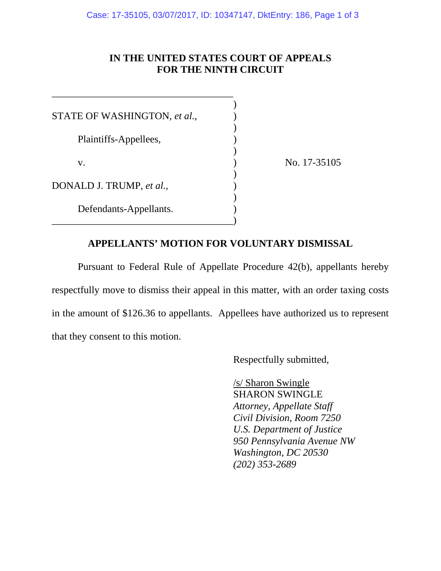## **IN THE UNITED STATES COURT OF APPEALS FOR THE NINTH CIRCUIT**

| STATE OF WASHINGTON, et al., |  |
|------------------------------|--|
|                              |  |
| Plaintiffs-Appellees,        |  |
|                              |  |
| V.                           |  |
|                              |  |
| DONALD J. TRUMP, et al.,     |  |
|                              |  |
| Defendants-Appellants.       |  |
|                              |  |

\_\_\_\_\_\_\_\_\_\_\_\_\_\_\_\_\_\_\_\_\_\_\_\_\_\_\_\_\_\_\_\_\_\_\_\_

No. 17-35105

## **APPELLANTS' MOTION FOR VOLUNTARY DISMISSAL**

 Pursuant to Federal Rule of Appellate Procedure 42(b), appellants hereby respectfully move to dismiss their appeal in this matter, with an order taxing costs in the amount of \$126.36 to appellants. Appellees have authorized us to represent that they consent to this motion.

Respectfully submitted,

 /s/ Sharon Swingle SHARON SWINGLE  *Attorney, Appellate Staff Civil Division, Room 7250 U.S. Department of Justice 950 Pennsylvania Avenue NW Washington, DC 20530 (202) 353-2689*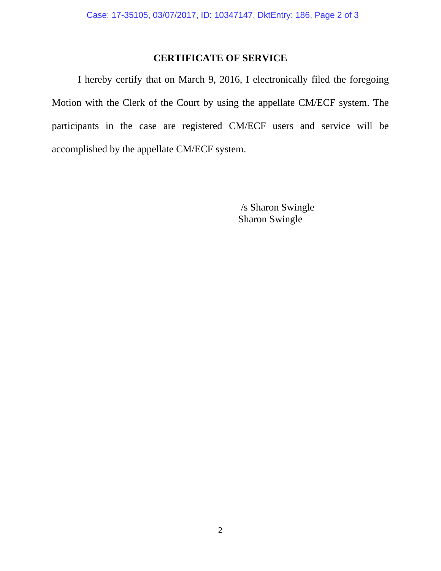## **CERTIFICATE OF SERVICE**

 I hereby certify that on March 9, 2016, I electronically filed the foregoing Motion with the Clerk of the Court by using the appellate CM/ECF system. The participants in the case are registered CM/ECF users and service will be accomplished by the appellate CM/ECF system.

> /s Sharon Swingle Sharon Swingle